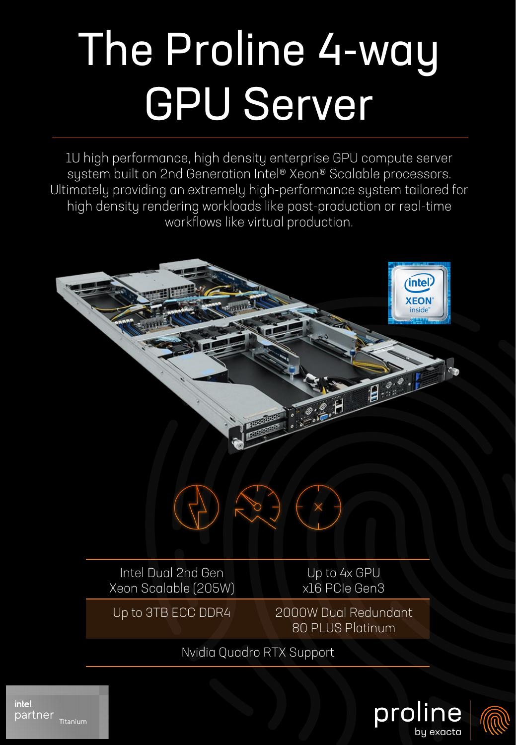## The Proline 4-way GPU Server

1U high performance, high density enterprise GPU compute server system built on 2nd Generation Intel® Xeon® Scalable processors. Ultimately providing an extremely high-performance system tailored for high density rendering workloads like post-production or real-time workflows like virtual production.



Up to 3TB ECC DDR4 2000W Dual Redundant 80 PLUS Platinum

Nvidia Quadro RTX Support